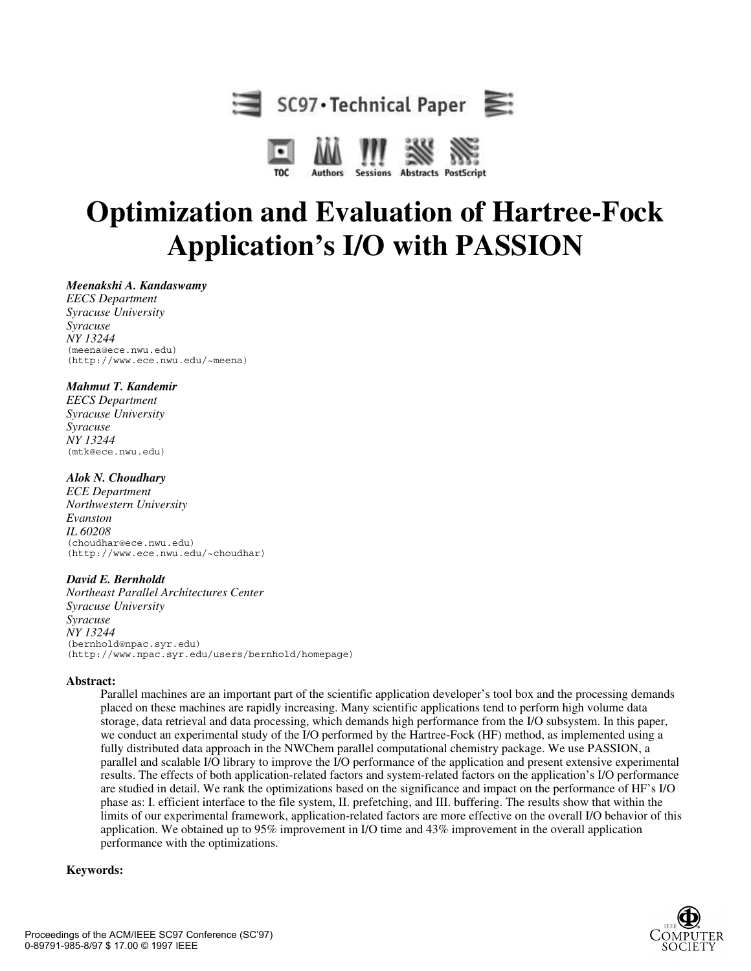



## **Optimization and Evaluation of Hartree-Fock Application's I/O with PASSION**

*Meenakshi A. Kandaswamy*

*EECS Department Syracuse University Syracuse NY 13244*  (meena@ece.nwu.edu) (http://www.ece.nwu.edu/~meena)

#### *Mahmut T. Kandemir*

*EECS Department Syracuse University Syracuse NY 13244*  (mtk@ece.nwu.edu)

#### *Alok N. Choudhary*

*ECE Department Northwestern University Evanston IL 60208* (choudhar@ece.nwu.edu) (http://www.ece.nwu.edu/~choudhar)

#### *David E. Bernholdt*

*Northeast Parallel Architectures Center Syracuse University Syracuse NY 13244* (bernhold@npac.syr.edu) (http://www.npac.syr.edu/users/bernhold/homepage)

#### **Abstract:**

Parallel machines are an important part of the scientific application developer's tool box and the processing demands placed on these machines are rapidly increasing. Many scientific applications tend to perform high volume data storage, data retrieval and data processing, which demands high performance from the I/O subsystem. In this paper, we conduct an experimental study of the I/O performed by the Hartree-Fock (HF) method, as implemented using a fully distributed data approach in the NWChem parallel computational chemistry package. We use PASSION, a parallel and scalable I/O library to improve the I/O performance of the application and present extensive experimental results. The effects of both application-related factors and system-related factors on the application's I/O performance are studied in detail. We rank the optimizations based on the significance and impact on the performance of HF's I/O phase as: I. efficient interface to the file system, II. prefetching, and III. buffering. The results show that within the limits of our experimental framework, application-related factors are more effective on the overall I/O behavior of this application. We obtained up to 95% improvement in I/O time and 43% improvement in the overall application performance with the optimizations.

#### **Keywords:**

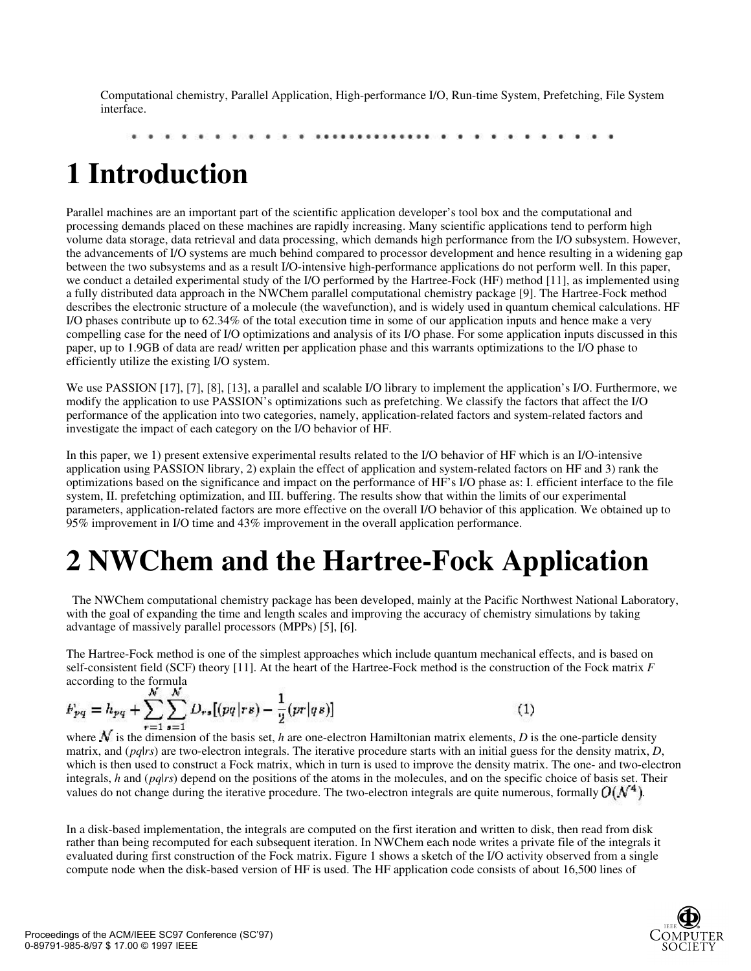Computational chemistry, Parallel Application, High-performance I/O, Run-time System, Prefetching, File System interface.

..........

## **1 Introduction**

Parallel machines are an important part of the scientific application developer's tool box and the computational and processing demands placed on these machines are rapidly increasing. Many scientific applications tend to perform high volume data storage, data retrieval and data processing, which demands high performance from the I/O subsystem. However, the advancements of I/O systems are much behind compared to processor development and hence resulting in a widening gap between the two subsystems and as a result I/O-intensive high-performance applications do not perform well. In this paper, we conduct a detailed experimental study of the I/O performed by the Hartree-Fock (HF) method [11], as implemented using a fully distributed data approach in the NWChem parallel computational chemistry package [9]. The Hartree-Fock method describes the electronic structure of a molecule (the wavefunction), and is widely used in quantum chemical calculations. HF I/O phases contribute up to 62.34% of the total execution time in some of our application inputs and hence make a very compelling case for the need of I/O optimizations and analysis of its I/O phase. For some application inputs discussed in this paper, up to 1.9GB of data are read/ written per application phase and this warrants optimizations to the I/O phase to efficiently utilize the existing I/O system.

We use PASSION [17], [7], [8], [13], a parallel and scalable I/O library to implement the application's I/O. Furthermore, we modify the application to use PASSION's optimizations such as prefetching. We classify the factors that affect the I/O performance of the application into two categories, namely, application-related factors and system-related factors and investigate the impact of each category on the I/O behavior of HF.

In this paper, we 1) present extensive experimental results related to the I/O behavior of HF which is an I/O-intensive application using PASSION library, 2) explain the effect of application and system-related factors on HF and 3) rank the optimizations based on the significance and impact on the performance of HF's I/O phase as: I. efficient interface to the file system, II. prefetching optimization, and III. buffering. The results show that within the limits of our experimental parameters, application-related factors are more effective on the overall I/O behavior of this application. We obtained up to 95% improvement in I/O time and 43% improvement in the overall application performance.

# **2 NWChem and the Hartree-Fock Application**

 The NWChem computational chemistry package has been developed, mainly at the Pacific Northwest National Laboratory, with the goal of expanding the time and length scales and improving the accuracy of chemistry simulations by taking advantage of massively parallel processors (MPPs) [5], [6].

The Hartree-Fock method is one of the simplest approaches which include quantum mechanical effects, and is based on self-consistent field (SCF) theory [11]. At the heart of the Hartree-Fock method is the construction of the Fock matrix *F* according to the formula

$$
F_{pq} = h_{pq} + \sum_{r=1}^{N} \sum_{s=1}^{N} D_{rs} [(pq|rs) - \frac{1}{2}(pr|qs)]
$$

 $(1)$ 

where  $\mathcal N$  is the dimension of the basis set, *h* are one-electron Hamiltonian matrix elements, *D* is the one-particle density matrix, and (*pq*|*rs*) are two-electron integrals. The iterative procedure starts with an initial guess for the density matrix, *D*, which is then used to construct a Fock matrix, which in turn is used to improve the density matrix. The one- and two-electron integrals, *h* and (*pq*|*rs*) depend on the positions of the atoms in the molecules, and on the specific choice of basis set. Their values do not change during the iterative procedure. The two-electron integrals are quite numerous, formally  $O(N^4)$ .

In a disk-based implementation, the integrals are computed on the first iteration and written to disk, then read from disk rather than being recomputed for each subsequent iteration. In NWChem each node writes a private file of the integrals it evaluated during first construction of the Fock matrix. Figure 1 shows a sketch of the I/O activity observed from a single compute node when the disk-based version of HF is used. The HF application code consists of about 16,500 lines of

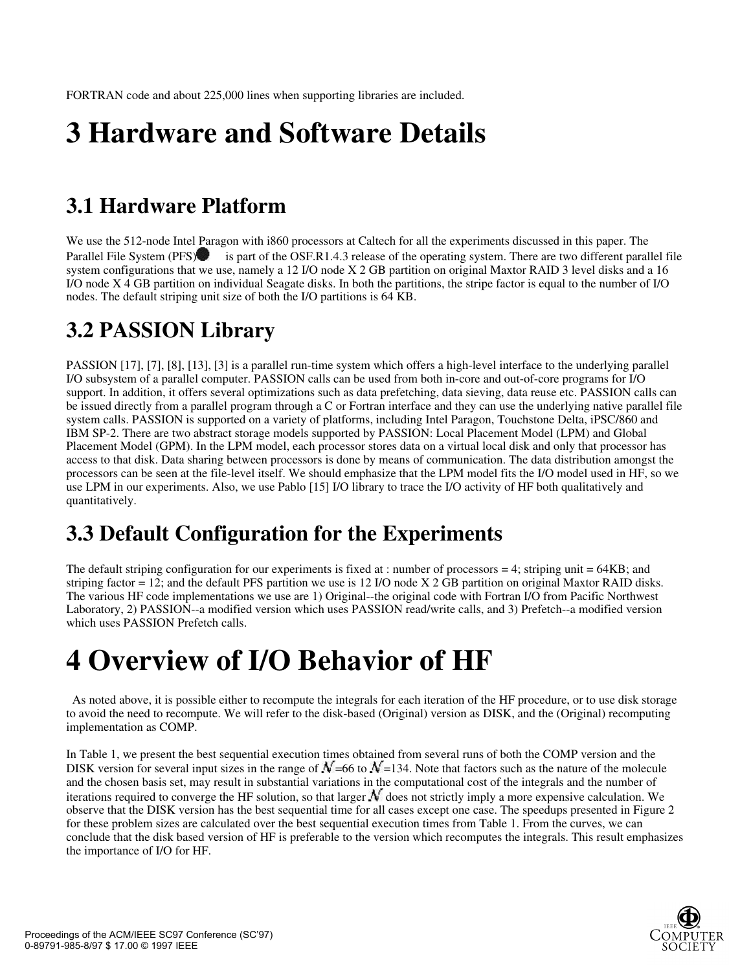# **3 Hardware and Software Details**

## **3.1 Hardware Platform**

We use the 512-node Intel Paragon with i860 processors at Caltech for all the experiments discussed in this paper. The Parallel File System (PFS) is part of the OSF.R1.4.3 release of the operating system. There are two different parallel file system configurations that we use, namely a 12 I/O node X 2 GB partition on original Maxtor RAID 3 level disks and a 16 I/O node X 4 GB partition on individual Seagate disks. In both the partitions, the stripe factor is equal to the number of I/O nodes. The default striping unit size of both the I/O partitions is 64 KB.

## **3.2 PASSION Library**

PASSION [17], [7], [8], [13], [3] is a parallel run-time system which offers a high-level interface to the underlying parallel I/O subsystem of a parallel computer. PASSION calls can be used from both in-core and out-of-core programs for I/O support. In addition, it offers several optimizations such as data prefetching, data sieving, data reuse etc. PASSION calls can be issued directly from a parallel program through a C or Fortran interface and they can use the underlying native parallel file system calls. PASSION is supported on a variety of platforms, including Intel Paragon, Touchstone Delta, iPSC/860 and IBM SP-2. There are two abstract storage models supported by PASSION: Local Placement Model (LPM) and Global Placement Model (GPM). In the LPM model, each processor stores data on a virtual local disk and only that processor has access to that disk. Data sharing between processors is done by means of communication. The data distribution amongst the processors can be seen at the file-level itself. We should emphasize that the LPM model fits the I/O model used in HF, so we use LPM in our experiments. Also, we use Pablo [15] I/O library to trace the I/O activity of HF both qualitatively and quantitatively.

## **3.3 Default Configuration for the Experiments**

The default striping configuration for our experiments is fixed at : number of processors  $= 4$ ; striping unit  $= 64KB$ ; and striping factor = 12; and the default PFS partition we use is 12 I/O node X 2 GB partition on original Maxtor RAID disks. The various HF code implementations we use are 1) Original--the original code with Fortran I/O from Pacific Northwest Laboratory, 2) PASSION--a modified version which uses PASSION read/write calls, and 3) Prefetch--a modified version which uses PASSION Prefetch calls.

## **4 Overview of I/O Behavior of HF**

 As noted above, it is possible either to recompute the integrals for each iteration of the HF procedure, or to use disk storage to avoid the need to recompute. We will refer to the disk-based (Original) version as DISK, and the (Original) recomputing implementation as COMP.

In Table 1, we present the best sequential execution times obtained from several runs of both the COMP version and the DISK version for several input sizes in the range of  $N$ =66 to  $N$ =134. Note that factors such as the nature of the molecule and the chosen basis set, may result in substantial variations in the computational cost of the integrals and the number of iterations required to converge the HF solution, so that larger  $\mathcal N$  does not strictly imply a more expensive calculation. We observe that the DISK version has the best sequential time for all cases except one case. The speedups presented in Figure 2 for these problem sizes are calculated over the best sequential execution times from Table 1. From the curves, we can conclude that the disk based version of HF is preferable to the version which recomputes the integrals. This result emphasizes the importance of I/O for HF.

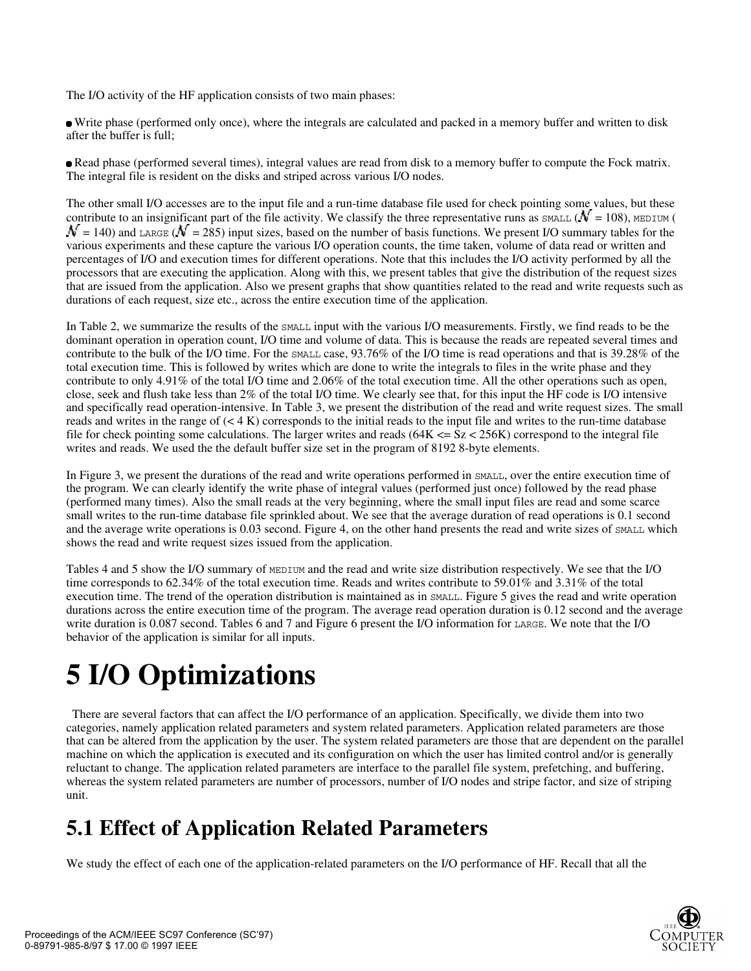The I/O activity of the HF application consists of two main phases:

 Write phase (performed only once), where the integrals are calculated and packed in a memory buffer and written to disk after the buffer is full;

 Read phase (performed several times), integral values are read from disk to a memory buffer to compute the Fock matrix. The integral file is resident on the disks and striped across various I/O nodes.

The other small I/O accesses are to the input file and a run-time database file used for check pointing some values, but these contribute to an insignificant part of the file activity. We classify the three representative runs as  $\text{small}(\mathcal{N}=108)$ , MEDIUM (  $\mathcal{N} = 140$ ) and LARGE ( $\mathcal{N} = 285$ ) input sizes, based on the number of basis functions. We present I/O summary tables for the various experiments and these capture the various I/O operation counts, the time taken, volume of data read or written and percentages of I/O and execution times for different operations. Note that this includes the I/O activity performed by all the processors that are executing the application. Along with this, we present tables that give the distribution of the request sizes that are issued from the application. Also we present graphs that show quantities related to the read and write requests such as durations of each request, size etc., across the entire execution time of the application.

In Table 2, we summarize the results of the SMALL input with the various I/O measurements. Firstly, we find reads to be the dominant operation in operation count, I/O time and volume of data. This is because the reads are repeated several times and contribute to the bulk of the I/O time. For the SMALL case, 93.76% of the I/O time is read operations and that is 39.28% of the total execution time. This is followed by writes which are done to write the integrals to files in the write phase and they contribute to only 4.91% of the total I/O time and 2.06% of the total execution time. All the other operations such as open, close, seek and flush take less than 2% of the total I/O time. We clearly see that, for this input the HF code is I/O intensive and specifically read operation-intensive. In Table 3, we present the distribution of the read and write request sizes. The small reads and writes in the range of  $(< 4 K)$  corresponds to the initial reads to the input file and writes to the run-time database file for check pointing some calculations. The larger writes and reads  $(64K < = Sz < 256K)$  correspond to the integral file writes and reads. We used the the default buffer size set in the program of 8192 8-byte elements.

In Figure 3, we present the durations of the read and write operations performed in SMALL, over the entire execution time of the program. We can clearly identify the write phase of integral values (performed just once) followed by the read phase (performed many times). Also the small reads at the very beginning, where the small input files are read and some scarce small writes to the run-time database file sprinkled about. We see that the average duration of read operations is 0.1 second and the average write operations is 0.03 second. Figure 4, on the other hand presents the read and write sizes of SMALL which shows the read and write request sizes issued from the application.

Tables 4 and 5 show the I/O summary of MEDIUM and the read and write size distribution respectively. We see that the I/O time corresponds to 62.34% of the total execution time. Reads and writes contribute to 59.01% and 3.31% of the total execution time. The trend of the operation distribution is maintained as in SMALL. Figure 5 gives the read and write operation durations across the entire execution time of the program. The average read operation duration is 0.12 second and the average write duration is 0.087 second. Tables 6 and 7 and Figure 6 present the I/O information for LARGE. We note that the I/O behavior of the application is similar for all inputs.

# **5 I/O Optimizations**

 There are several factors that can affect the I/O performance of an application. Specifically, we divide them into two categories, namely application related parameters and system related parameters. Application related parameters are those that can be altered from the application by the user. The system related parameters are those that are dependent on the parallel machine on which the application is executed and its configuration on which the user has limited control and/or is generally reluctant to change. The application related parameters are interface to the parallel file system, prefetching, and buffering, whereas the system related parameters are number of processors, number of I/O nodes and stripe factor, and size of striping unit.

## **5.1 Effect of Application Related Parameters**

We study the effect of each one of the application-related parameters on the I/O performance of HF. Recall that all the

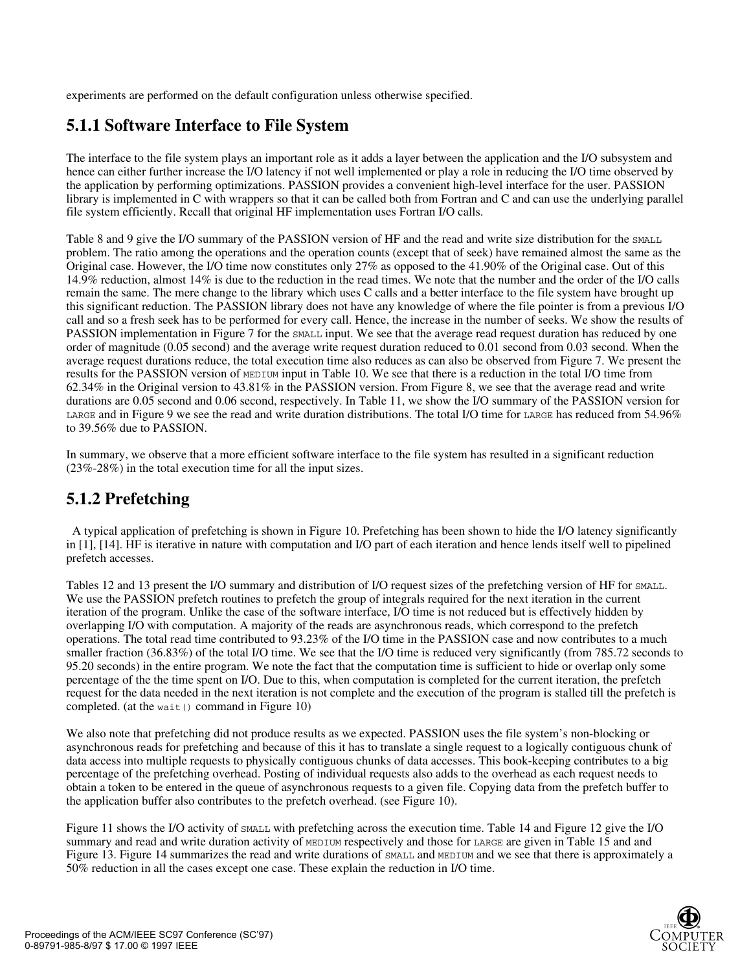experiments are performed on the default configuration unless otherwise specified.

### **5.1.1 Software Interface to File System**

The interface to the file system plays an important role as it adds a layer between the application and the I/O subsystem and hence can either further increase the I/O latency if not well implemented or play a role in reducing the I/O time observed by the application by performing optimizations. PASSION provides a convenient high-level interface for the user. PASSION library is implemented in C with wrappers so that it can be called both from Fortran and C and can use the underlying parallel file system efficiently. Recall that original HF implementation uses Fortran I/O calls.

Table 8 and 9 give the I/O summary of the PASSION version of HF and the read and write size distribution for the SMALL problem. The ratio among the operations and the operation counts (except that of seek) have remained almost the same as the Original case. However, the I/O time now constitutes only 27% as opposed to the 41.90% of the Original case. Out of this 14.9% reduction, almost 14% is due to the reduction in the read times. We note that the number and the order of the I/O calls remain the same. The mere change to the library which uses C calls and a better interface to the file system have brought up this significant reduction. The PASSION library does not have any knowledge of where the file pointer is from a previous I/O call and so a fresh seek has to be performed for every call. Hence, the increase in the number of seeks. We show the results of PASSION implementation in Figure 7 for the SMALL input. We see that the average read request duration has reduced by one order of magnitude (0.05 second) and the average write request duration reduced to 0.01 second from 0.03 second. When the average request durations reduce, the total execution time also reduces as can also be observed from Figure 7. We present the results for the PASSION version of MEDIUM input in Table 10. We see that there is a reduction in the total I/O time from 62.34% in the Original version to 43.81% in the PASSION version. From Figure 8, we see that the average read and write durations are 0.05 second and 0.06 second, respectively. In Table 11, we show the I/O summary of the PASSION version for LARGE and in Figure 9 we see the read and write duration distributions. The total I/O time for LARGE has reduced from 54.96% to 39.56% due to PASSION.

In summary, we observe that a more efficient software interface to the file system has resulted in a significant reduction (23%-28%) in the total execution time for all the input sizes.

### **5.1.2 Prefetching**

 A typical application of prefetching is shown in Figure 10. Prefetching has been shown to hide the I/O latency significantly in [1], [14]. HF is iterative in nature with computation and I/O part of each iteration and hence lends itself well to pipelined prefetch accesses.

Tables 12 and 13 present the I/O summary and distribution of I/O request sizes of the prefetching version of HF for SMALL. We use the PASSION prefetch routines to prefetch the group of integrals required for the next iteration in the current iteration of the program. Unlike the case of the software interface, I/O time is not reduced but is effectively hidden by overlapping I/O with computation. A majority of the reads are asynchronous reads, which correspond to the prefetch operations. The total read time contributed to 93.23% of the I/O time in the PASSION case and now contributes to a much smaller fraction (36.83%) of the total I/O time. We see that the I/O time is reduced very significantly (from 785.72 seconds to 95.20 seconds) in the entire program. We note the fact that the computation time is sufficient to hide or overlap only some percentage of the the time spent on I/O. Due to this, when computation is completed for the current iteration, the prefetch request for the data needed in the next iteration is not complete and the execution of the program is stalled till the prefetch is completed. (at the wait  $()$  command in Figure 10)

We also note that prefetching did not produce results as we expected. PASSION uses the file system's non-blocking or asynchronous reads for prefetching and because of this it has to translate a single request to a logically contiguous chunk of data access into multiple requests to physically contiguous chunks of data accesses. This book-keeping contributes to a big percentage of the prefetching overhead. Posting of individual requests also adds to the overhead as each request needs to obtain a token to be entered in the queue of asynchronous requests to a given file. Copying data from the prefetch buffer to the application buffer also contributes to the prefetch overhead. (see Figure 10).

Figure 11 shows the I/O activity of SMALL with prefetching across the execution time. Table 14 and Figure 12 give the I/O summary and read and write duration activity of MEDIUM respectively and those for LARGE are given in Table 15 and and Figure 13. Figure 14 summarizes the read and write durations of SMALL and MEDIUM and we see that there is approximately a 50% reduction in all the cases except one case. These explain the reduction in I/O time.

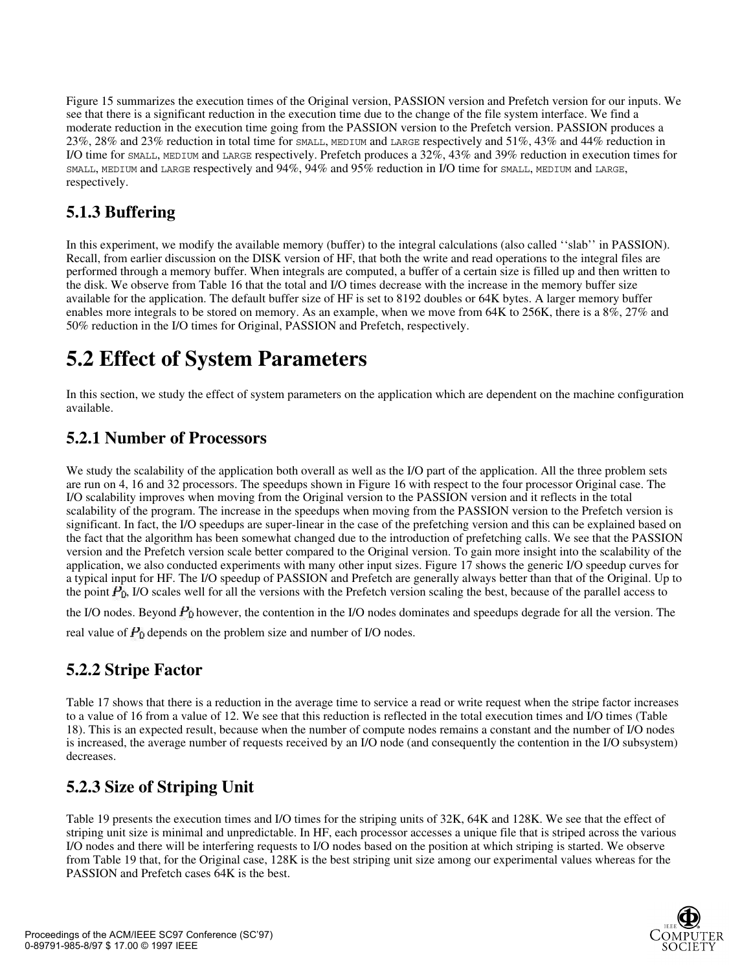Figure 15 summarizes the execution times of the Original version, PASSION version and Prefetch version for our inputs. We see that there is a significant reduction in the execution time due to the change of the file system interface. We find a moderate reduction in the execution time going from the PASSION version to the Prefetch version. PASSION produces a 23%, 28% and 23% reduction in total time for SMALL, MEDIUM and LARGE respectively and 51%, 43% and 44% reduction in I/O time for SMALL, MEDIUM and LARGE respectively. Prefetch produces a 32%, 43% and 39% reduction in execution times for SMALL, MEDIUM and LARGE respectively and 94%, 94% and 95% reduction in I/O time for SMALL, MEDIUM and LARGE, respectively.

### **5.1.3 Buffering**

In this experiment, we modify the available memory (buffer) to the integral calculations (also called ''slab'' in PASSION). Recall, from earlier discussion on the DISK version of HF, that both the write and read operations to the integral files are performed through a memory buffer. When integrals are computed, a buffer of a certain size is filled up and then written to the disk. We observe from Table 16 that the total and I/O times decrease with the increase in the memory buffer size available for the application. The default buffer size of HF is set to 8192 doubles or 64K bytes. A larger memory buffer enables more integrals to be stored on memory. As an example, when we move from 64K to 256K, there is a 8%, 27% and 50% reduction in the I/O times for Original, PASSION and Prefetch, respectively.

## **5.2 Effect of System Parameters**

In this section, we study the effect of system parameters on the application which are dependent on the machine configuration available.

### **5.2.1 Number of Processors**

We study the scalability of the application both overall as well as the I/O part of the application. All the three problem sets are run on 4, 16 and 32 processors. The speedups shown in Figure 16 with respect to the four processor Original case. The I/O scalability improves when moving from the Original version to the PASSION version and it reflects in the total scalability of the program. The increase in the speedups when moving from the PASSION version to the Prefetch version is significant. In fact, the I/O speedups are super-linear in the case of the prefetching version and this can be explained based on the fact that the algorithm has been somewhat changed due to the introduction of prefetching calls. We see that the PASSION version and the Prefetch version scale better compared to the Original version. To gain more insight into the scalability of the application, we also conducted experiments with many other input sizes. Figure 17 shows the generic I/O speedup curves for a typical input for HF. The I/O speedup of PASSION and Prefetch are generally always better than that of the Original. Up to the point  $P<sub>0</sub>$ , I/O scales well for all the versions with the Prefetch version scaling the best, because of the parallel access to

the I/O nodes. Beyond  $P_0$  however, the contention in the I/O nodes dominates and speedups degrade for all the version. The

real value of  $P_0$  depends on the problem size and number of I/O nodes.

### **5.2.2 Stripe Factor**

Table 17 shows that there is a reduction in the average time to service a read or write request when the stripe factor increases to a value of 16 from a value of 12. We see that this reduction is reflected in the total execution times and I/O times (Table 18). This is an expected result, because when the number of compute nodes remains a constant and the number of I/O nodes is increased, the average number of requests received by an I/O node (and consequently the contention in the I/O subsystem) decreases.

### **5.2.3 Size of Striping Unit**

Table 19 presents the execution times and I/O times for the striping units of 32K, 64K and 128K. We see that the effect of striping unit size is minimal and unpredictable. In HF, each processor accesses a unique file that is striped across the various I/O nodes and there will be interfering requests to I/O nodes based on the position at which striping is started. We observe from Table 19 that, for the Original case, 128K is the best striping unit size among our experimental values whereas for the PASSION and Prefetch cases 64K is the best.

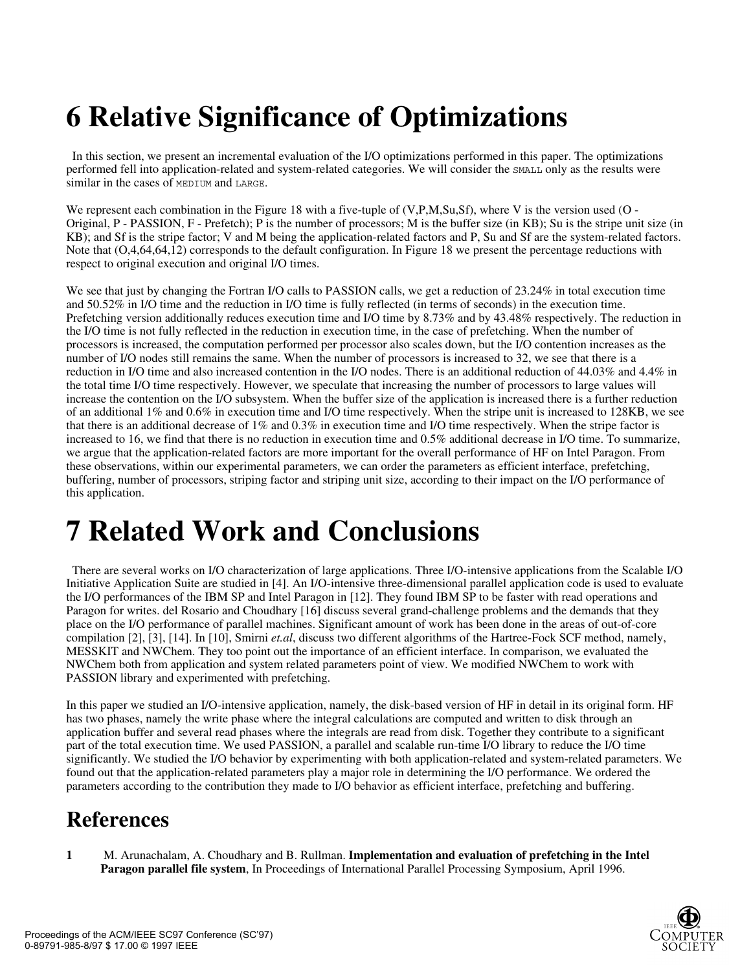# **6 Relative Significance of Optimizations**

 In this section, we present an incremental evaluation of the I/O optimizations performed in this paper. The optimizations performed fell into application-related and system-related categories. We will consider the SMALL only as the results were similar in the cases of MEDIUM and LARGE.

We represent each combination in the Figure 18 with a five-tuple of (V,P,M,Su,Sf), where V is the version used (O -Original, P - PASSION, F - Prefetch); P is the number of processors; M is the buffer size (in KB); Su is the stripe unit size (in KB); and Sf is the stripe factor; V and M being the application-related factors and P, Su and Sf are the system-related factors. Note that (O,4,64,64,12) corresponds to the default configuration. In Figure 18 we present the percentage reductions with respect to original execution and original I/O times.

We see that just by changing the Fortran I/O calls to PASSION calls, we get a reduction of 23.24% in total execution time and 50.52% in I/O time and the reduction in I/O time is fully reflected (in terms of seconds) in the execution time. Prefetching version additionally reduces execution time and I/O time by 8.73% and by 43.48% respectively. The reduction in the I/O time is not fully reflected in the reduction in execution time, in the case of prefetching. When the number of processors is increased, the computation performed per processor also scales down, but the I/O contention increases as the number of I/O nodes still remains the same. When the number of processors is increased to 32, we see that there is a reduction in I/O time and also increased contention in the I/O nodes. There is an additional reduction of 44.03% and 4.4% in the total time I/O time respectively. However, we speculate that increasing the number of processors to large values will increase the contention on the I/O subsystem. When the buffer size of the application is increased there is a further reduction of an additional 1% and 0.6% in execution time and I/O time respectively. When the stripe unit is increased to 128KB, we see that there is an additional decrease of 1% and 0.3% in execution time and I/O time respectively. When the stripe factor is increased to 16, we find that there is no reduction in execution time and 0.5% additional decrease in I/O time. To summarize, we argue that the application-related factors are more important for the overall performance of HF on Intel Paragon. From these observations, within our experimental parameters, we can order the parameters as efficient interface, prefetching, buffering, number of processors, striping factor and striping unit size, according to their impact on the I/O performance of this application.

# **7 Related Work and Conclusions**

 There are several works on I/O characterization of large applications. Three I/O-intensive applications from the Scalable I/O Initiative Application Suite are studied in [4]. An I/O-intensive three-dimensional parallel application code is used to evaluate the I/O performances of the IBM SP and Intel Paragon in [12]. They found IBM SP to be faster with read operations and Paragon for writes. del Rosario and Choudhary [16] discuss several grand-challenge problems and the demands that they place on the I/O performance of parallel machines. Significant amount of work has been done in the areas of out-of-core compilation [2], [3], [14]. In [10], Smirni *et.al*, discuss two different algorithms of the Hartree-Fock SCF method, namely, MESSKIT and NWChem. They too point out the importance of an efficient interface. In comparison, we evaluated the NWChem both from application and system related parameters point of view. We modified NWChem to work with PASSION library and experimented with prefetching.

In this paper we studied an I/O-intensive application, namely, the disk-based version of HF in detail in its original form. HF has two phases, namely the write phase where the integral calculations are computed and written to disk through an application buffer and several read phases where the integrals are read from disk. Together they contribute to a significant part of the total execution time. We used PASSION, a parallel and scalable run-time I/O library to reduce the I/O time significantly. We studied the I/O behavior by experimenting with both application-related and system-related parameters. We found out that the application-related parameters play a major role in determining the I/O performance. We ordered the parameters according to the contribution they made to I/O behavior as efficient interface, prefetching and buffering.

## **References**

**1** M. Arunachalam, A. Choudhary and B. Rullman. **Implementation and evaluation of prefetching in the Intel Paragon parallel file system**, In Proceedings of International Parallel Processing Symposium, April 1996.

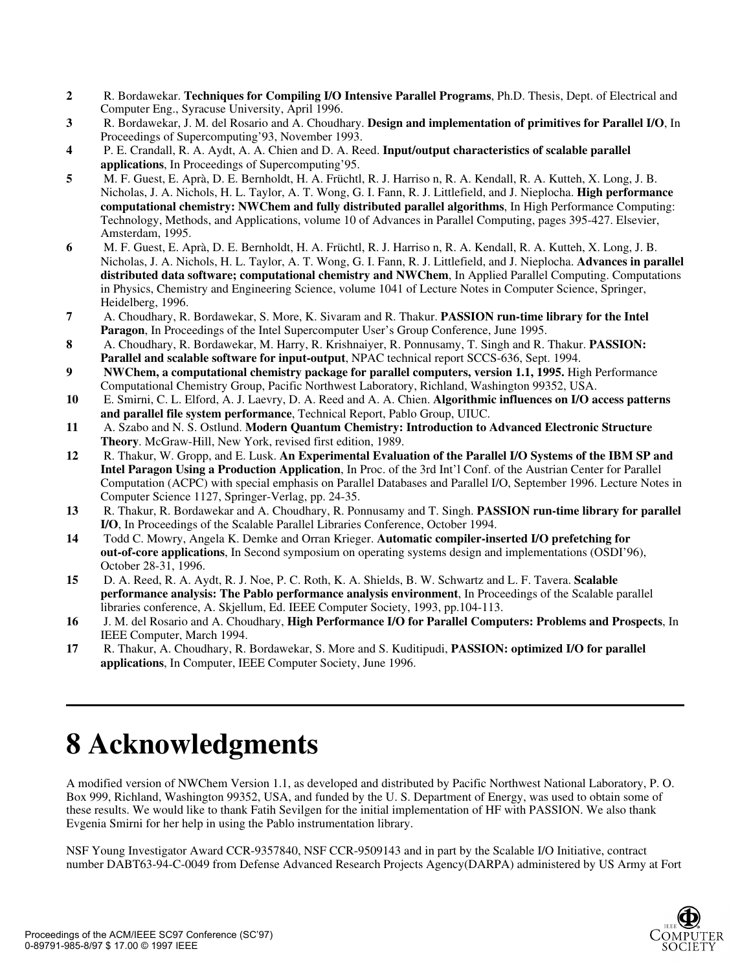- **2** R. Bordawekar. **Techniques for Compiling I/O Intensive Parallel Programs**, Ph.D. Thesis, Dept. of Electrical and Computer Eng., Syracuse University, April 1996.
- **3** R. Bordawekar, J. M. del Rosario and A. Choudhary. **Design and implementation of primitives for Parallel I/O**, In Proceedings of Supercomputing'93, November 1993.
- **4** P. E. Crandall, R. A. Aydt, A. A. Chien and D. A. Reed. **Input/output characteristics of scalable parallel applications**, In Proceedings of Supercomputing'95.
- **5** M. F. Guest, E. Aprà, D. E. Bernholdt, H. A. Früchtl, R. J. Harriso n, R. A. Kendall, R. A. Kutteh, X. Long, J. B. Nicholas, J. A. Nichols, H. L. Taylor, A. T. Wong, G. I. Fann, R. J. Littlefield, and J. Nieplocha. **High performance computational chemistry: NWChem and fully distributed parallel algorithms**, In High Performance Computing: Technology, Methods, and Applications, volume 10 of Advances in Parallel Computing, pages 395-427. Elsevier, Amsterdam, 1995.
- **6** M. F. Guest, E. Aprà, D. E. Bernholdt, H. A. Früchtl, R. J. Harriso n, R. A. Kendall, R. A. Kutteh, X. Long, J. B. Nicholas, J. A. Nichols, H. L. Taylor, A. T. Wong, G. I. Fann, R. J. Littlefield, and J. Nieplocha. **Advances in parallel distributed data software; computational chemistry and NWChem**, In Applied Parallel Computing. Computations in Physics, Chemistry and Engineering Science, volume 1041 of Lecture Notes in Computer Science, Springer, Heidelberg, 1996.
- **7** A. Choudhary, R. Bordawekar, S. More, K. Sivaram and R. Thakur. **PASSION run-time library for the Intel Paragon**, In Proceedings of the Intel Supercomputer User's Group Conference, June 1995.
- **8** A. Choudhary, R. Bordawekar, M. Harry, R. Krishnaiyer, R. Ponnusamy, T. Singh and R. Thakur. **PASSION: Parallel and scalable software for input-output**, NPAC technical report SCCS-636, Sept. 1994.
- **9 NWChem, a computational chemistry package for parallel computers, version 1.1, 1995.** High Performance Computational Chemistry Group, Pacific Northwest Laboratory, Richland, Washington 99352, USA.
- **10** E. Smirni, C. L. Elford, A. J. Laevry, D. A. Reed and A. A. Chien. **Algorithmic influences on I/O access patterns and parallel file system performance**, Technical Report, Pablo Group, UIUC.
- **11** A. Szabo and N. S. Ostlund. **Modern Quantum Chemistry: Introduction to Advanced Electronic Structure Theory**. McGraw-Hill, New York, revised first edition, 1989.
- **12** R. Thakur, W. Gropp, and E. Lusk. **An Experimental Evaluation of the Parallel I/O Systems of the IBM SP and Intel Paragon Using a Production Application**, In Proc. of the 3rd Int'l Conf. of the Austrian Center for Parallel Computation (ACPC) with special emphasis on Parallel Databases and Parallel I/O, September 1996. Lecture Notes in Computer Science 1127, Springer-Verlag, pp. 24-35.
- **13** R. Thakur, R. Bordawekar and A. Choudhary, R. Ponnusamy and T. Singh. **PASSION run-time library for parallel I/O**, In Proceedings of the Scalable Parallel Libraries Conference, October 1994.
- **14** Todd C. Mowry, Angela K. Demke and Orran Krieger. **Automatic compiler-inserted I/O prefetching for out-of-core applications**, In Second symposium on operating systems design and implementations (OSDI'96), October 28-31, 1996.
- **15** D. A. Reed, R. A. Aydt, R. J. Noe, P. C. Roth, K. A. Shields, B. W. Schwartz and L. F. Tavera. **Scalable performance analysis: The Pablo performance analysis environment**, In Proceedings of the Scalable parallel libraries conference, A. Skjellum, Ed. IEEE Computer Society, 1993, pp.104-113.
- **16** J. M. del Rosario and A. Choudhary, **High Performance I/O for Parallel Computers: Problems and Prospects**, In IEEE Computer, March 1994.
- **17** R. Thakur, A. Choudhary, R. Bordawekar, S. More and S. Kuditipudi, **PASSION: optimized I/O for parallel applications**, In Computer, IEEE Computer Society, June 1996.

# **8 Acknowledgments**

A modified version of NWChem Version 1.1, as developed and distributed by Pacific Northwest National Laboratory, P. O. Box 999, Richland, Washington 99352, USA, and funded by the U. S. Department of Energy, was used to obtain some of these results. We would like to thank Fatih Sevilgen for the initial implementation of HF with PASSION. We also thank Evgenia Smirni for her help in using the Pablo instrumentation library.

NSF Young Investigator Award CCR-9357840, NSF CCR-9509143 and in part by the Scalable I/O Initiative, contract number DABT63-94-C-0049 from Defense Advanced Research Projects Agency(DARPA) administered by US Army at Fort

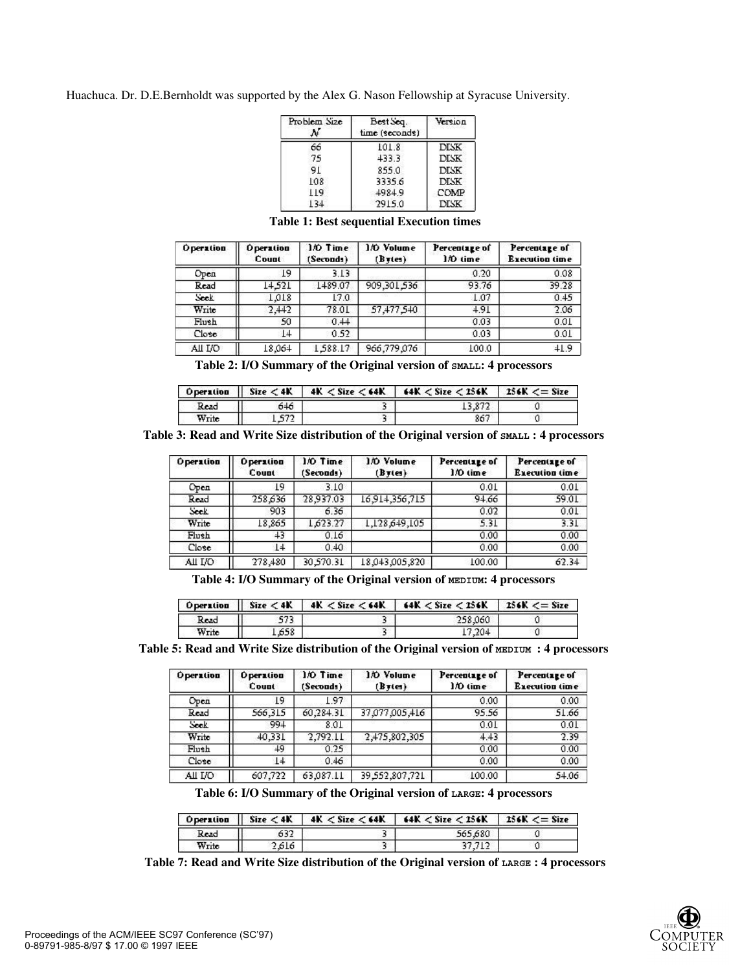Huachuca. Dr. D.E.Bernholdt was supported by the Alex G. Nason Fellowship at Syracuse University.

| Problem Size | Best Seq.<br>time (seconds) | Version     |  |
|--------------|-----------------------------|-------------|--|
| 66           | 101.8                       | <b>DISK</b> |  |
| 75           | 433.3                       | <b>DISK</b> |  |
| 91           | 855.0                       | <b>DISK</b> |  |
| 108          | 3335.6                      | <b>DISK</b> |  |
| 119          | 4984.9                      | COMP        |  |
| 134          | 2915.0                      | <b>DISK</b> |  |

| <b>Operation</b> | <b>Operation</b><br>Count | 1/0 Time<br>(Seconds) | 1/0 Volume<br>(Bytes) | Percentage of<br>1/0 time | Percentage of<br><b>Execution time</b> |
|------------------|---------------------------|-----------------------|-----------------------|---------------------------|----------------------------------------|
| Оред             | 19                        | 3.13                  |                       | 0.20                      | 0.08                                   |
| Read             | 14.521                    | 1489.07               | 909,301,536           | 93.76                     | 39.28                                  |
| Seek             | 1.018                     | 17.0                  |                       | 1.07                      | 0.45                                   |
| Write            | 2,442                     | 78.01                 | 57,477,540            | 4.91                      | 2.06                                   |
| Flush            | 50                        | 0.44                  |                       | 0.03                      | 0.01                                   |
| Close            | $1+$                      | 0.52                  |                       | 0.03                      | 0.01                                   |
| All I/O          | 18,064                    | 1,588.17              | 966,779,076           | 100.0                     | $+1.9$                                 |

**Table 1: Best sequential Execution times**

**Table 2: I/O Summary of the Original version of SMALL: 4 processors** 

|       |     | Operation    Size $\lt 4K$   $4K \lt$ Size $\lt 64K$   $64K \lt$ Size $\lt 256K$   256K $\lt =$ Size |  |
|-------|-----|------------------------------------------------------------------------------------------------------|--|
| Read  | 646 |                                                                                                      |  |
| Write | 572 | 867                                                                                                  |  |

**Table 3: Read and Write Size distribution of the Original version of SMALL : 4 processors** 

| <b>Operation</b> | <b>Operation</b><br>Count | 1/0 Time<br>(Seconds) | 1/0 Volume<br>(Bytes) | Percentage of<br>1/0 time | Percentage of<br><b>Execution time</b> |
|------------------|---------------------------|-----------------------|-----------------------|---------------------------|----------------------------------------|
| Open             | 19                        | 3.10                  |                       | 0.01                      | 0.01                                   |
| Read             | 258,636                   | 28.937.03             | 16,914,356,715        | 94.66                     | 59.01                                  |
| Seek             | 903                       | 6.36                  |                       | 0.02                      | 0.01                                   |
| Write            | 18,865                    | 1,623.27              | 1,128,649,105         | 5.31                      | 3.31                                   |
| Flush            | 43                        | 0.16                  |                       | 0.00                      | 0.00                                   |
| Close            | 14                        | 0.40                  |                       | 0.00                      | 0.00                                   |
| All I/O          | 278,480                   | 30,570.31             | 18,043,005,820        | 100.00                    | 62.34                                  |

Table 4: I/O Summary of the Original version of **MEDIUM**: 4 processors

| <b>Operation</b> |       | Size < 4K   4K < Size < 64K   64K < Size < 256K | $136K \leq$ Size |
|------------------|-------|-------------------------------------------------|------------------|
| Read             | 573   | 258.060                                         |                  |
| Write            | 1.658 | 7,204                                           |                  |

Table 5: Read and Write Size distribution of the Original version of **MEDIUM** : 4 processors

| <b>Operation</b> | <b>Operation</b><br>Count | 1/0 Time<br>(Seconds) | 1/0 Volume<br>(Bytes) | Percentage of<br>1/0 time | Percentage of<br><b>Execution time</b> |
|------------------|---------------------------|-----------------------|-----------------------|---------------------------|----------------------------------------|
| Оред             | ί9                        | 1.97                  |                       | 0.00                      | 0.00                                   |
| Read             | 566,315                   | 60,284.31             | 37,077,005,416        | 95.56                     | 51.66                                  |
| Seek             | 994                       | 8.01                  |                       | 0.01                      | 0.01                                   |
| Write            | 40,331                    | 2,792.11              | 2,475,802,305         | 4.43                      | 2.39                                   |
| Flush            | 49.                       | 0.25                  |                       | 0.00                      | 0.00                                   |
| Close            | 14                        | 0.46                  |                       | 0.00                      | 0.00                                   |
| All I/O          | 607,722                   | 63,087.11             | 39,552,807,721        | 100.00                    | 54.06                                  |

**Table 6: I/O Summary of the Original version of LARGE: 4 processors** 

| <b>O</b> peration | Size < 4K | $4K <$ Size $<$ 64K   64K $<$ Size $<$ 256K   256K $<=$ Size |  |
|-------------------|-----------|--------------------------------------------------------------|--|
| 632<br>Read       | 565.680   |                                                              |  |
| Write             | 2.616     |                                                              |  |

**Table 7: Read and Write Size distribution of the Original version of LARGE : 4 processors**

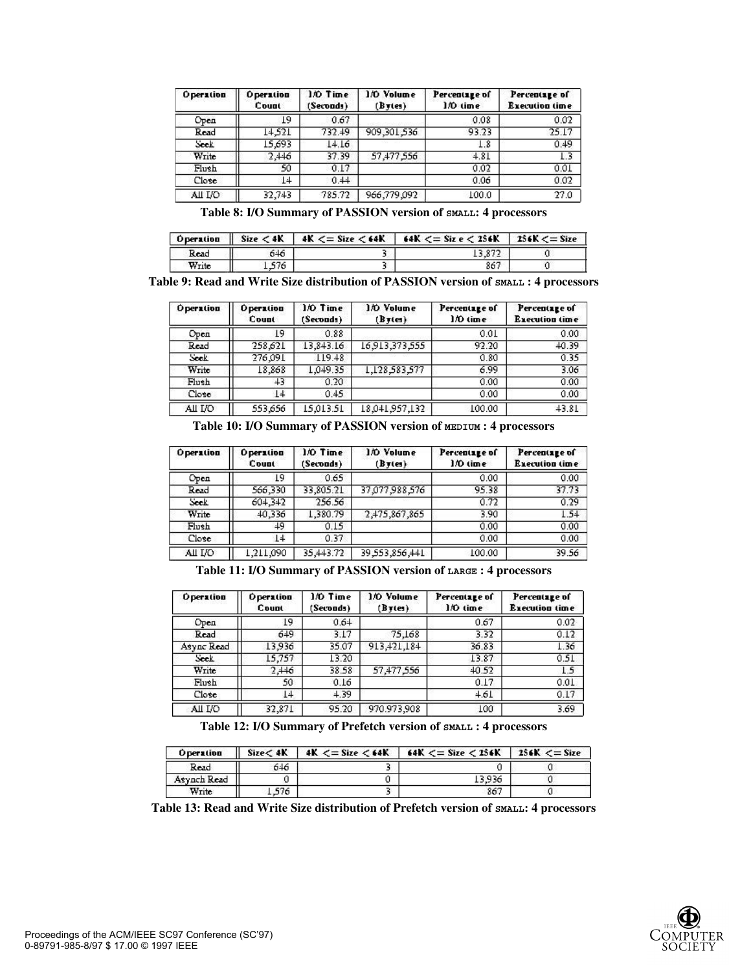| <b>Operation</b> | <b>Operation</b><br>Count | 1/0 Time<br>(Seconds) | 1/0 Volume<br>B <sub>T</sub> (es) | Percentage of<br>1/0 time | Percentage of<br><b>Execution time</b> |
|------------------|---------------------------|-----------------------|-----------------------------------|---------------------------|----------------------------------------|
| Оред             | 19                        | 0.67                  |                                   | 0.08                      | 0.02                                   |
| Read             | 14.521                    | 732.49                | 909,301,536                       | 93.23                     | 25.17                                  |
| Seek             | 15,693                    | 14.16                 |                                   | 1.8                       | 0.49                                   |
| Write            | 2,446                     | 37.39                 | 57,477,556                        | 4.81                      | 1.3                                    |
| Flush            | 50                        | 0.17                  |                                   | 0.02                      | 0.01                                   |
| Close            | $1+$                      | 0.44                  |                                   | 0.06                      | 0.02                                   |
| All I/O          | 32,743                    | 785.72                | 966,779,092                       | 100.0                     | 27.0                                   |

**Table 8: I/O Summary of PASSION version of SMALL: 4 processors** 

| <b>Operation</b> |       | Size $\lt 4K$   $4K \lt =$ Size $\lt 64K$   $64K \lt =$ Size $\lt 256K$   256K $\lt =$ Size |  |
|------------------|-------|---------------------------------------------------------------------------------------------|--|
| Read             | 546   |                                                                                             |  |
| Write            | L 576 | 867                                                                                         |  |

**Table 9: Read and Write Size distribution of PASSION version of SMALL : 4 processors** 

| <b>Operation</b> | <b>Operation</b><br>Count | 1/0 Time<br>(Seconds) | 1/0 Volume<br>(Bytes) | Percentage of<br>1/0 time | Percentage of<br><b>Execution time</b> |
|------------------|---------------------------|-----------------------|-----------------------|---------------------------|----------------------------------------|
| Оред             | L9                        | 0.88                  |                       | 0.01                      | 0.00                                   |
| Read             | 258,621                   | 13,843.16             | 16,913,373,555        | 92.20                     | 40.39                                  |
| Seek             | 276,091                   | 119.48                |                       | 0.80                      | 0.35                                   |
| Write            | 18,868                    | 1,049.35              | 1,128,583,577         | 6.99                      | 3.06                                   |
| Flush            | 43.                       | 0.20                  |                       | 0.00                      | 0.00                                   |
| Close            | 14                        | 0.45                  |                       | 0.00                      | 0.00                                   |
| All I/O          | 553,656                   | 15.013.51             | 18,041,957,132        | 100.00                    | 43.81                                  |

**Table 10: I/O Summary of PASSION version of MEDIUM : 4 processors** 

| <b>Operation</b> | <b>Operation</b><br>Count | 1/0 Time<br>(Seconds) | 1/0 Volume<br>(Bytes) | Percentage of<br>1/0 time | Percentage of<br><b>Execution time</b> |
|------------------|---------------------------|-----------------------|-----------------------|---------------------------|----------------------------------------|
| Оред             | L9                        | 0.65                  |                       | 0.00                      | 0.00                                   |
| Read             | 566,330                   | 33,805.21             | 37,077,988,576        | 95.38                     | 37.73                                  |
| Seek             | 604,342                   | 256.56                |                       | 0.72                      | 0.29                                   |
| Write            | 40,336                    | 1,380.79              | 2,475,867,865         | 3.90                      | 1.54                                   |
| Flush            | 49                        | 0.15                  |                       | 0.00                      | 0.00                                   |
| Close            | L4                        | 0.37                  |                       | 0.00                      | 0.00                                   |
| All I/O          | ,211,090                  | 35,443.72             | 39,553,856,441        | 100.00                    | 39.56                                  |

**Table 11: I/O Summary of PASSION version of LARGE : 4 processors**

| <b>Operation</b> | <b>Operation</b><br>Count | 1/0 Time<br>(Seconds) | 1/0 Volume<br>$(B \tau (es))$ | Percentage of<br>1/0 time | Percentage of<br><b>Execution time</b> |
|------------------|---------------------------|-----------------------|-------------------------------|---------------------------|----------------------------------------|
| Оред             | 19                        | 0.64                  |                               | 0.67                      | 0.02                                   |
| Read             | 649                       | 3.17                  | 75,168                        | 3.32                      | 0.12                                   |
| Async Read       | 13,936                    | 35.07                 | 913,421,184                   | 36.83                     | 1.36                                   |
| Seek             | 15,757                    | 13.20                 |                               | 13.87                     | 0.51                                   |
| Write            | $2, +16$                  | 38.58                 | 57,477,556                    | $+0.52$                   | 1.5                                    |
| Flush            | 50                        | 0.16                  |                               | 0.17                      | 0.01                                   |
| Close            | L4                        | 4.39                  |                               | $+61$                     | 0.17                                   |
| All I/O          | 32,871                    | 95.20                 | 970.973.908                   | 100                       | 3.69                                   |

**Table 12: I/O Summary of Prefetch version of SMALL : 4 processors**

| <b>Operation</b> | Size < 4K | $4K \leq Size \leq 64K$ | 64K $\lt =$ Size $\lt$ 256K | $256K \leq$ Size |
|------------------|-----------|-------------------------|-----------------------------|------------------|
| Read             | 646       |                         |                             |                  |
| Asynch Read      |           |                         | 3.936                       |                  |
| Write            | 576       |                         | 867                         |                  |

**Table 13: Read and Write Size distribution of Prefetch version of SMALL: 4 processors** 

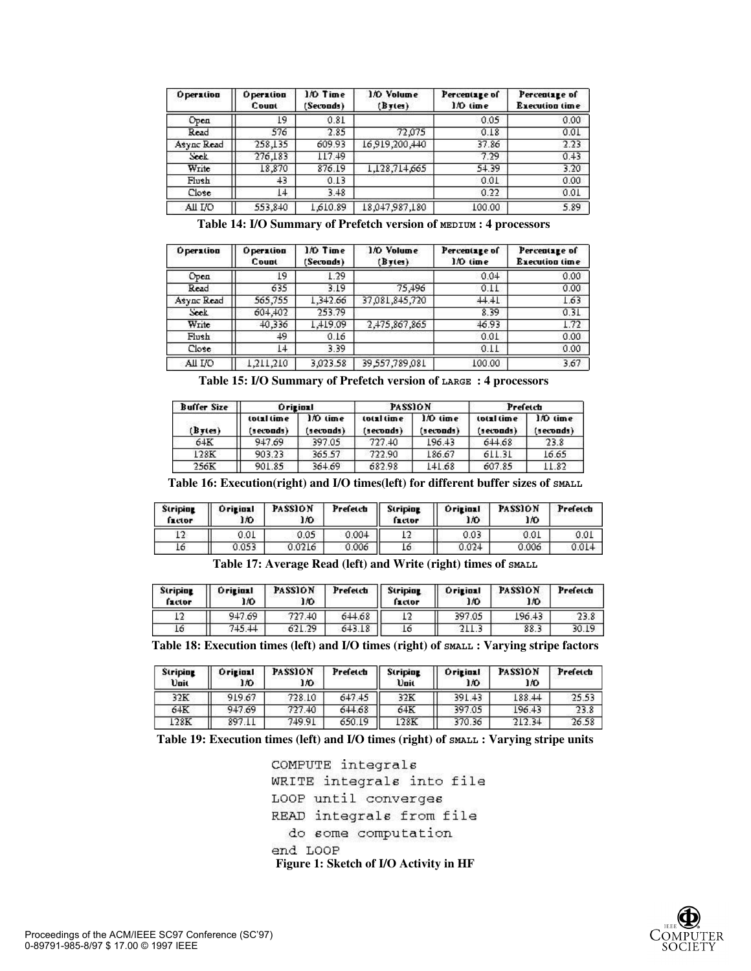| <b>Operation</b> | <b>Operation</b><br>Count | 1/0 Time<br>(Seconds) | 1/0 Volume<br>$(B \tau (es))$ | Percentage of<br>1/0 time | Percentage of<br><b>Execution time</b> |  |
|------------------|---------------------------|-----------------------|-------------------------------|---------------------------|----------------------------------------|--|
| Оред             | 19                        | 0.81                  |                               | 0.05                      | 0.00                                   |  |
| Read             | 576                       | 2.85                  | 72.075                        | 0.18                      | 0.01                                   |  |
| Async Read       | 258,135                   | 609.93                | 16,919,200,440                | 37.86                     | 2.23                                   |  |
| Seek             | 276,183                   | 117.49                |                               | 7.29                      | 0.43                                   |  |
| Write            | 18,870                    | 876.19                | 1,128,714,665                 | 54.39                     | 3.20                                   |  |
| Flush            | 43                        | 0.13                  |                               | 0.01                      | 0.00                                   |  |
| Close            | $1+$                      | 3.48                  |                               | 0.22                      | 0.01                                   |  |
| All I/O          | 553,840                   | 1,610.89              | 18,047,987,180                | 100.00                    | 5.89                                   |  |

**Table 14: I/O Summary of Prefetch version of MEDIUM : 4 processors** 

| <b>Operation</b> | <b>Operation</b><br>Count | 1/0 Time<br>(Seconds) | 1/0 Volume<br>(Byes) | Percentage of<br>1/0 time | Percentage of<br><b>Execution time</b> |
|------------------|---------------------------|-----------------------|----------------------|---------------------------|----------------------------------------|
| Оред             | ι9                        | 1.29                  |                      | 0.04                      | 0.00                                   |
| Read             | 635                       | 3.19                  | 75,496               | 0.11                      | 0.00                                   |
| Async Read       | 565,755                   | 1,342.66              | 37,081,845,720       | $+1.11$                   | 1.63                                   |
| Sock             | 604,402                   | 253.79                |                      | 8.39                      | 0.31                                   |
| Write            | 40,336                    | 1,419.09              | 2,475,867,865        | 46.93                     | 1.72                                   |
| Flush            | 49.                       | 0.16                  |                      | 0.01                      | 0.00                                   |
| Close            | $1+$                      | 3.39                  |                      | 0.11                      | 0.00                                   |
| All I/O          | .211,210                  | 3,023.58              | 39,557,789,081       | 100.00                    | 3.67                                   |

**Table 15: I/O Summary of Prefetch version of LARGE : 4 processors** 

| <b>Buffer Size</b><br>(Bytes) | <b>Original</b>         |                       | <b>PASSION</b>          |                       | Prefetch                |                       |
|-------------------------------|-------------------------|-----------------------|-------------------------|-----------------------|-------------------------|-----------------------|
|                               | total time<br>(seconds) | 1/0 time<br>(seconds) | total time<br>(seconds) | 1/0 time<br>(seconds) | total time<br>(seconds) | 1/0 time<br>(seconds) |
| 64K                           | 947.69                  | 397.05                | 727.40                  | 196.43                | 644.68                  | 23.8                  |
| 128K                          | 903.23                  | 365.57                | 722.90                  | 186.67                | 611.31                  | 16.65                 |
| 256K                          | 901.85                  | 364.69                | 682.98                  | 141.68                | 607.85                  | 11.82                 |

**Table 16: Execution(right) and I/O times(left) for different buffer sizes of SMALL**

| <b>Striping</b><br>factor | <b>Original</b><br>17O | <b>PASSION</b><br>IO. | Prefetch | <b>Striping</b><br>factor | <b>Original</b><br>ıю | <b>PASSION</b><br>ıю | Prefetch |
|---------------------------|------------------------|-----------------------|----------|---------------------------|-----------------------|----------------------|----------|
|                           | 0.01                   | 0.05                  | 0.004    | רו                        | 0.03                  | 0.01                 | 0.01     |
| Τo                        | 0.053                  | 0.0216                | 0.006    | 16                        | 0.024                 | 0.006                |          |

**Table 17: Average Read (left) and Write (right) times of SMALL**

| <b>Striping</b><br>factor | <b>Original</b><br>ıю | <b>PASSION</b><br>ıю | Prefetch | <b>Striping</b><br>factor | <b>Original</b><br>ıю | <b>PASSION</b><br>I 10 | Prefetch |
|---------------------------|-----------------------|----------------------|----------|---------------------------|-----------------------|------------------------|----------|
|                           | 947.69                | 727.40               | 644.68   |                           | 397.05                | 196.43                 | 23.8     |
| 16                        | 745.44                | 621.29               | 643.18   | Lб                        | 211.3                 | 88.3                   | 30.19    |

**Table 18: Execution times (left) and I/O times (right) of SMALL : Varying stripe factors**

| <b>Striping</b><br><b>Unit</b> | <b>Original</b><br>ıю | <b>PASSION</b><br>lЮ. | Prefetch | Striping<br><b>Vait</b> | <b>Original</b><br>17O | <b>PASSION</b><br>ıю | Prefetch |
|--------------------------------|-----------------------|-----------------------|----------|-------------------------|------------------------|----------------------|----------|
| 32K                            | 919.67                | 728.10                | 647.45   | 32K                     | 391.43                 | 188.44               | 25.53    |
| 64K                            | 947.69                | 727.40                | 644.68   | 64K                     | 397.05                 | 196.43               | 23.8     |
| 128K                           | 897.11                | 749.91                | 650.19   | 128K                    | 370.36                 | 212.34               | 26.58    |

**Table 19: Execution times (left) and I/O times (right) of SMALL : Varying stripe units**

COMPUTE integrals WRITE integrals into file LOOP until converges READ integrals from file do some computation end LOOP **Figure 1: Sketch of I/O Activity in HF**

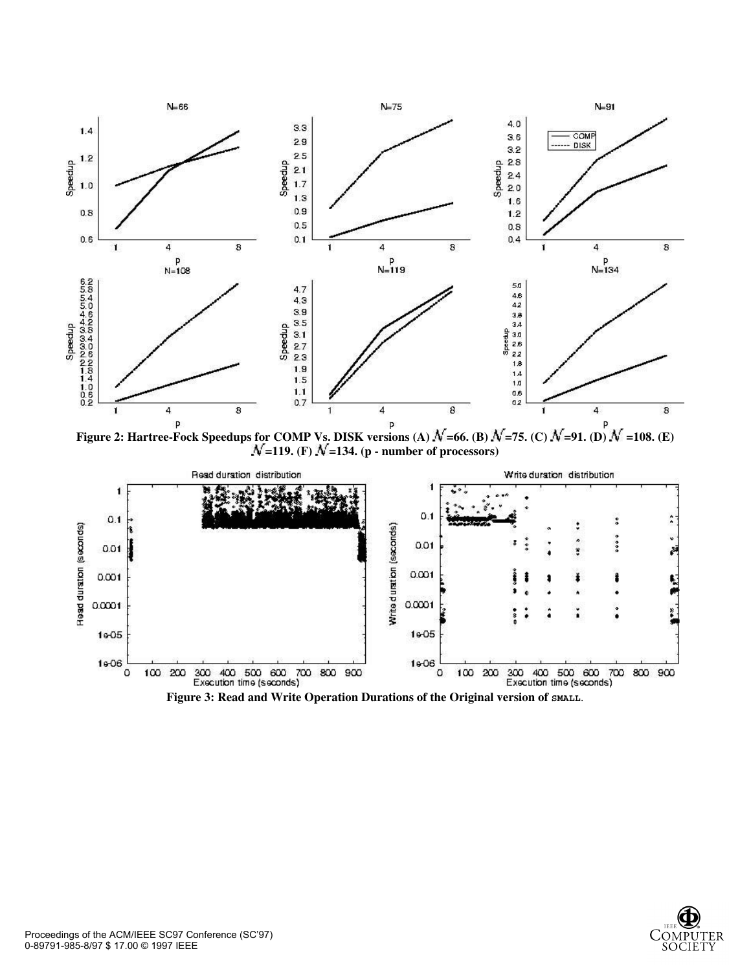

**Figure 2: Hartree-Fock Speedups for COMP Vs. DISK versions (A)**  $\mathcal{N}$ **=66. (B)**  $\mathcal{N}$ **=75. (C)**  $\mathcal{N}$ **=91. (D)**  $\mathcal{N}$  **=108. (E) =119.** (F)  $N$  **=134.** (p - number of processors)



Figure 3: Read and Write Operation Durations of the Original version of SMALL.

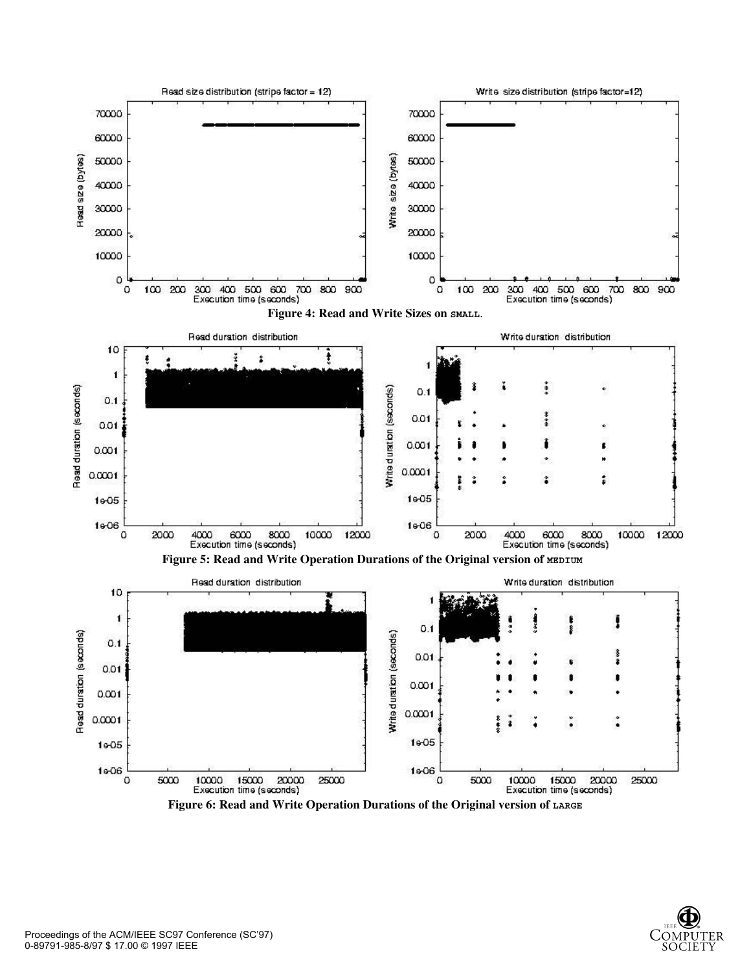

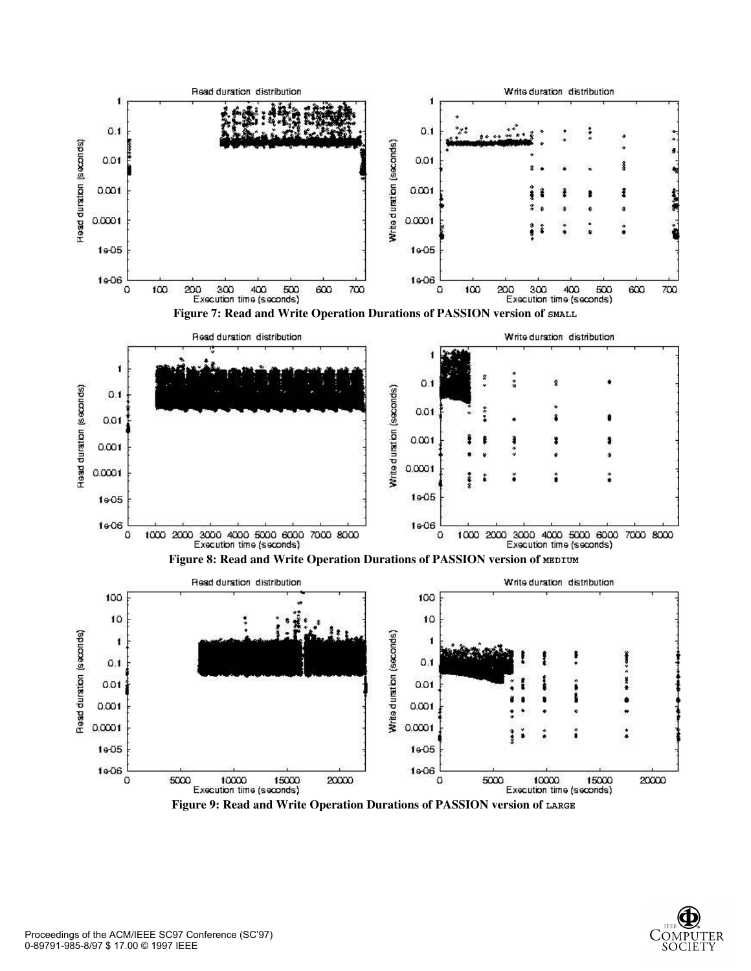



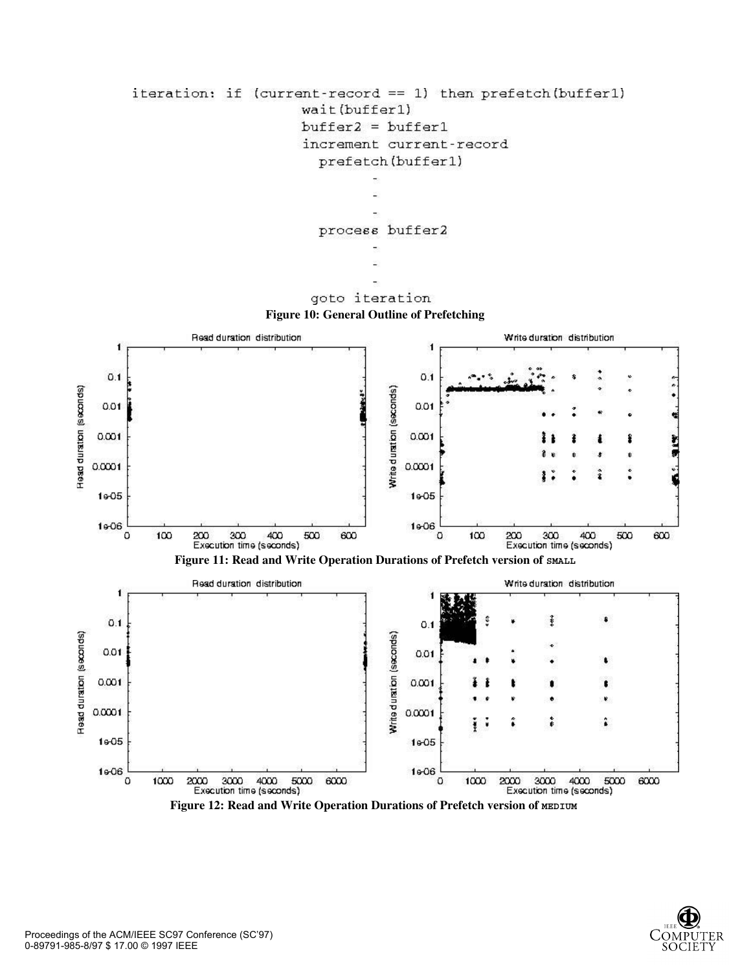





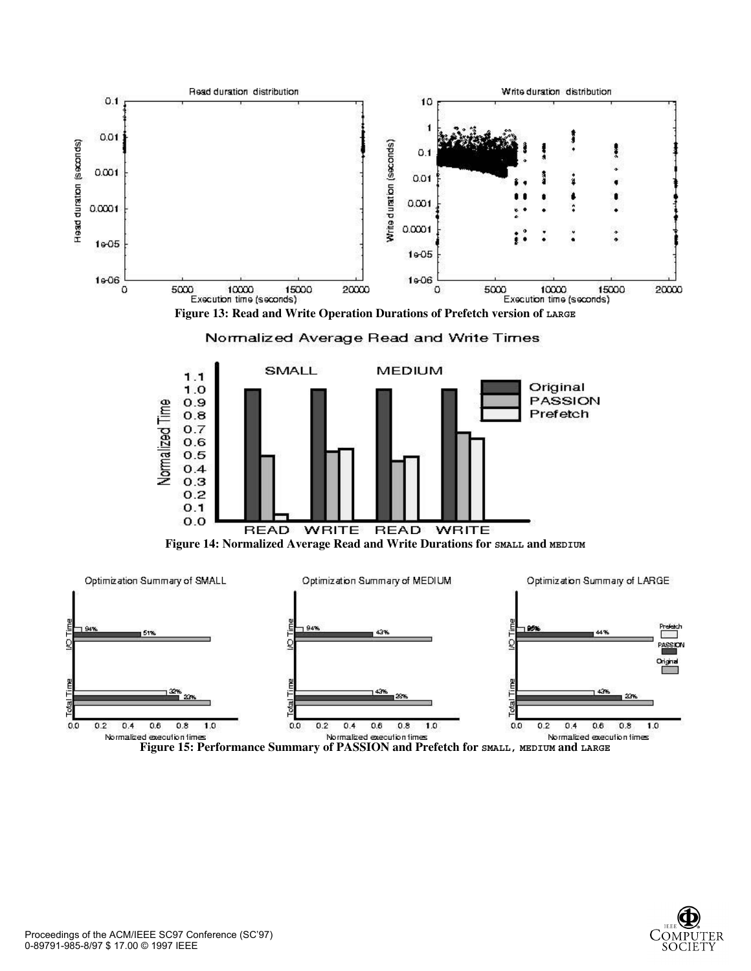

**Figure 15: Performance Summary of PASSION and Prefetch for SMALL, MEDIUM and LARGE**

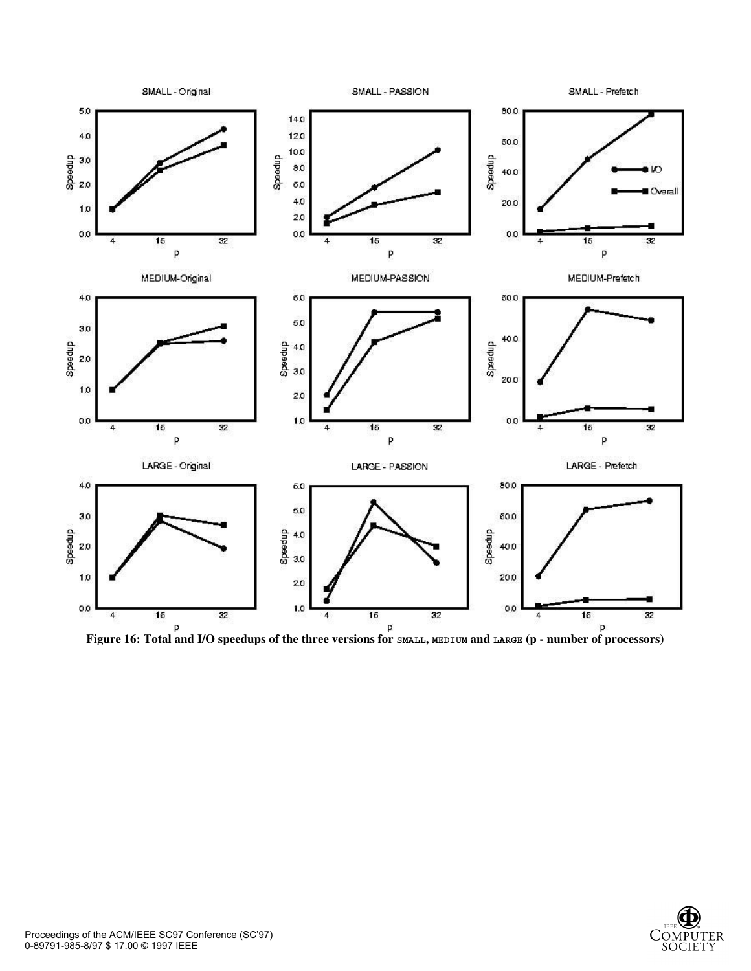

Figure 16: Total and I/O speedups of the three versions for **SMALL**, MEDIUM and LARGE (p - number of processors)

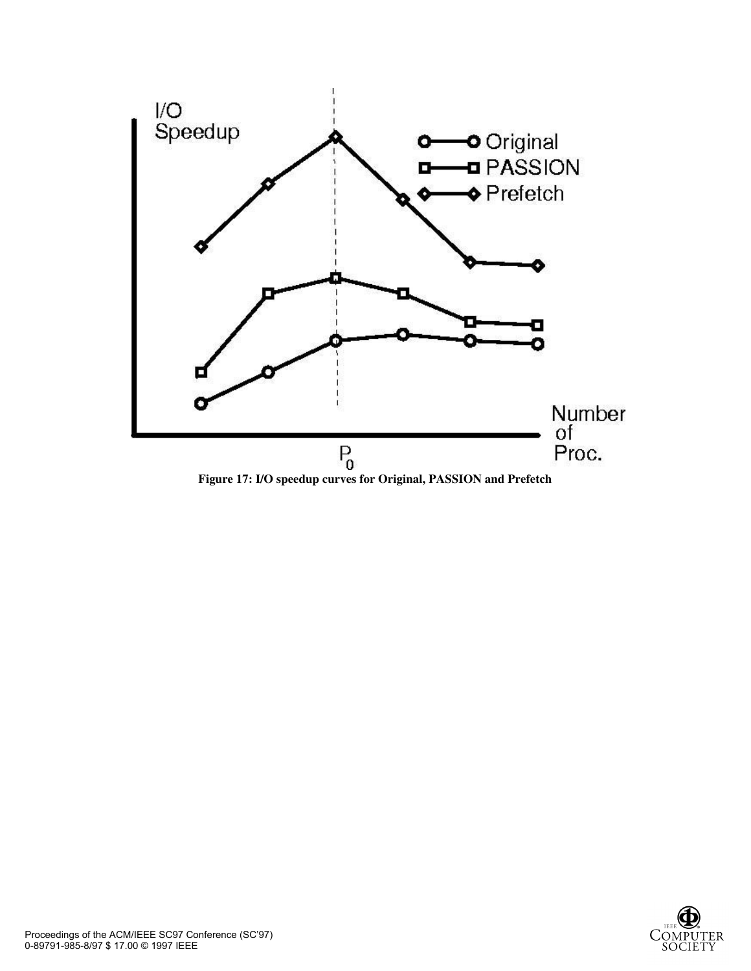

**Figure 17: I/O speedup curves for Original, PASSION and Prefetch**

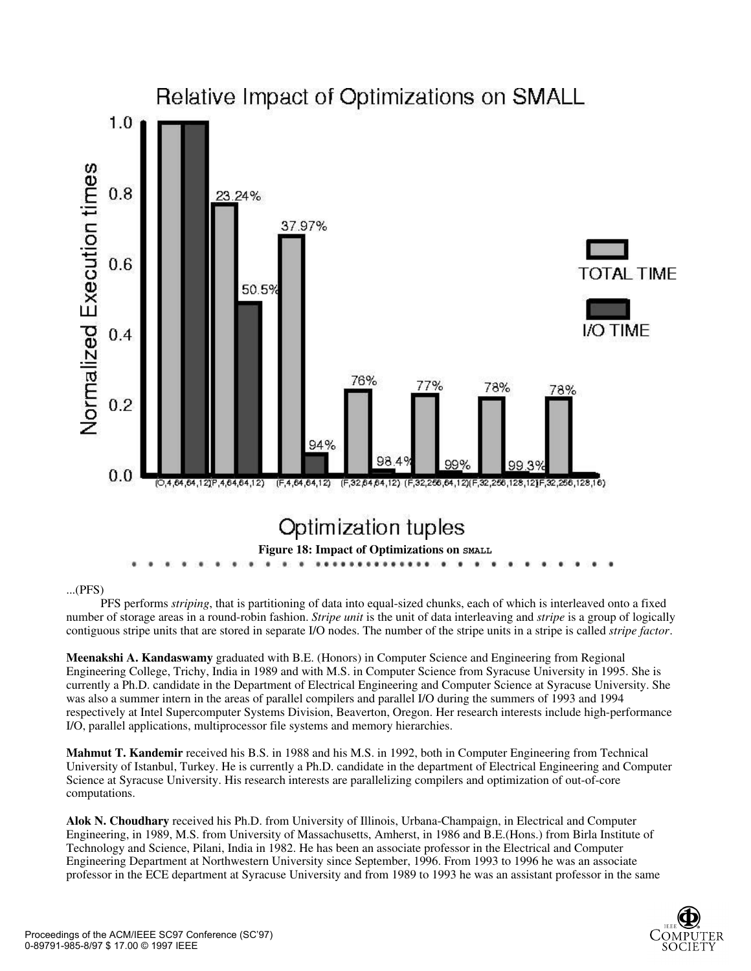

#### ...(PFS)

PFS performs *striping*, that is partitioning of data into equal-sized chunks, each of which is interleaved onto a fixed number of storage areas in a round-robin fashion. *Stripe unit* is the unit of data interleaving and *stripe* is a group of logically contiguous stripe units that are stored in separate I/O nodes. The number of the stripe units in a stripe is called *stripe factor*.

**Meenakshi A. Kandaswamy** graduated with B.E. (Honors) in Computer Science and Engineering from Regional Engineering College, Trichy, India in 1989 and with M.S. in Computer Science from Syracuse University in 1995. She is currently a Ph.D. candidate in the Department of Electrical Engineering and Computer Science at Syracuse University. She was also a summer intern in the areas of parallel compilers and parallel I/O during the summers of 1993 and 1994 respectively at Intel Supercomputer Systems Division, Beaverton, Oregon. Her research interests include high-performance I/O, parallel applications, multiprocessor file systems and memory hierarchies.

**Mahmut T. Kandemir** received his B.S. in 1988 and his M.S. in 1992, both in Computer Engineering from Technical University of Istanbul, Turkey. He is currently a Ph.D. candidate in the department of Electrical Engineering and Computer Science at Syracuse University. His research interests are parallelizing compilers and optimization of out-of-core computations.

**Alok N. Choudhary** received his Ph.D. from University of Illinois, Urbana-Champaign, in Electrical and Computer Engineering, in 1989, M.S. from University of Massachusetts, Amherst, in 1986 and B.E.(Hons.) from Birla Institute of Technology and Science, Pilani, India in 1982. He has been an associate professor in the Electrical and Computer Engineering Department at Northwestern University since September, 1996. From 1993 to 1996 he was an associate professor in the ECE department at Syracuse University and from 1989 to 1993 he was an assistant professor in the same